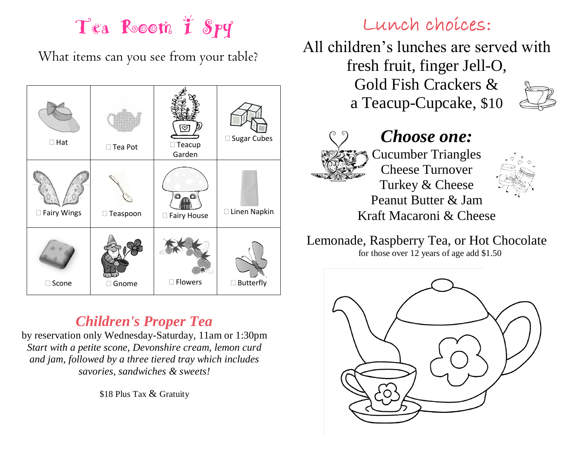## Tea Rooom T Spy

What items can you see from your table?



## *Children's Proper Tea*

by reservation only Wednesday-Saturday, 11am or 1:30pm *Start with a petite scone, Devonshire cream, lemon curd and jam, followed by a three tiered tray which includes savories, sandwiches & sweets!*

\$18 Plus Tax & Gratuity

### Lunch choices:

All children's lunches are served with fresh fruit, finger Jell-O, Gold Fish Crackers & a Teacup-Cupcake, \$10





### *Choose one:* Cucumber Triangles Cheese Turnover Turkey & Cheese Peanut Butter & Jam



Kraft Macaroni & Cheese Lemonade, Raspberry Tea, or Hot Chocolate

for those over 12 years of age add \$1.50